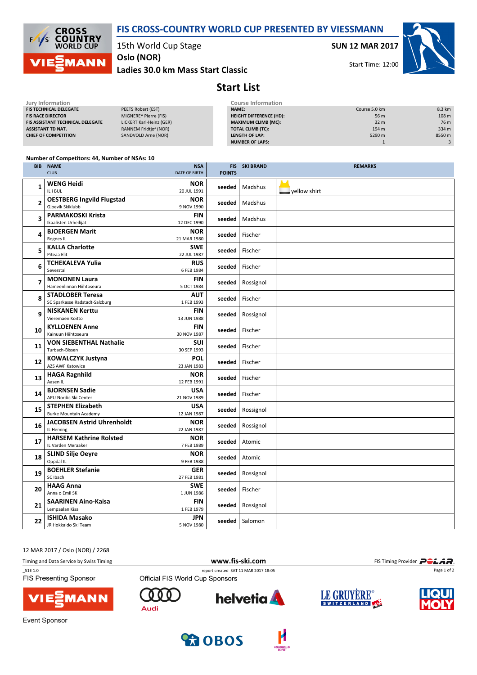

**CROSS<br>COUNTRY**<br>WORLD CUP  $\sqrt{ }$ ľς **AANN** 

15th World Cup Stage

Oslo (NOR)

Ladies 30.0 km Mass Start Classic

SUN 12 MAR 2017

Start Time: 12:00



## Start List

| Jury Information                        |                              | <b>Course Information</b>      |                 |                  |
|-----------------------------------------|------------------------------|--------------------------------|-----------------|------------------|
| <b>FIS TECHNICAL DELEGATE</b>           | PEETS Robert (EST)           | <b>NAME:</b>                   | Course 5.0 km   | 8.3 km           |
| <b>FIS RACE DIRECTOR</b>                | MIGNEREY Pierre (FIS)        | <b>HEIGHT DIFFERENCE (HD):</b> | 56 m            | 108 <sub>m</sub> |
| <b>FIS ASSISTANT TECHNICAL DELEGATE</b> | LICKERT Karl-Heinz (GER)     | <b>MAXIMUM CLIMB (MC):</b>     | 32 <sub>m</sub> | 76 m             |
| <b>ASSISTANT TD NAT.</b>                | <b>RANNEM Fridtjof (NOR)</b> | <b>TOTAL CLIMB (TC):</b>       | 194 m           | 334 m            |
| <b>CHIEF OF COMPETITION</b>             | SANDVOLD Arne (NOR)          | LENGTH OF LAP:                 | 5290 m          | 8550 m           |
|                                         |                              | NUMBER OF LAPS:                |                 |                  |
|                                         |                              |                                |                 |                  |

## Number of Competitors: 44, Number of NSAs: 10

| <b>BIB</b>     | <b>NAME</b><br><b>CLUB</b>                                | <b>NSA</b><br>DATE OF BIRTH | <b>POINTS</b> | <b>FIS SKI BRAND</b> | <b>REMARKS</b>      |
|----------------|-----------------------------------------------------------|-----------------------------|---------------|----------------------|---------------------|
| 1              | <b>WENG Heidi</b><br>IL i BUL                             | <b>NOR</b><br>20 JUL 1991   | seeded        | Madshus              | $\Box$ yellow shirt |
| $\overline{2}$ | <b>OESTBERG Ingvild Flugstad</b><br>Gjoevik Skiklubb      | <b>NOR</b><br>9 NOV 1990    | seeded        | Madshus              |                     |
| 3              | <b>PARMAKOSKI Krista</b><br>Ikaalisten Urheilijat         | <b>FIN</b><br>12 DEC 1990   | seeded        | Madshus              |                     |
| 4              | <b>BJOERGEN Marit</b><br>Rognes IL                        | <b>NOR</b><br>21 MAR 1980   | seeded        | Fischer              |                     |
| 5              | <b>KALLA Charlotte</b><br>Piteaa Elit                     | <b>SWE</b><br>22 JUL 1987   | seeded        | Fischer              |                     |
| 6              | <b>TCHEKALEVA Yulia</b><br>Severstal                      | <b>RUS</b><br>6 FEB 1984    |               | seeded   Fischer     |                     |
| 7              | <b>MONONEN Laura</b><br>Hameenlinnan Hiihtoseura          | <b>FIN</b><br>5 OCT 1984    | seeded        | Rossignol            |                     |
| 8              | <b>STADLOBER Teresa</b><br>SC Sparkasse Radstadt-Salzburg | <b>AUT</b><br>1 FEB 1993    | seeded        | Fischer              |                     |
| 9              | <b>NISKANEN Kerttu</b><br>Vieremaen Koitto                | <b>FIN</b><br>13 JUN 1988   |               | seeded   Rossignol   |                     |
| 10             | <b>KYLLOENEN Anne</b><br>Kainuun Hiihtoseura              | <b>FIN</b><br>30 NOV 1987   | seeded        | Fischer              |                     |
| 11             | <b>VON SIEBENTHAL Nathalie</b><br>Turbach-Bissen          | SUI<br>30 SEP 1993          | seeded        | Fischer              |                     |
| 12             | <b>KOWALCZYK Justyna</b><br><b>AZS AWF Katowice</b>       | <b>POL</b><br>23 JAN 1983   | seeded        | Fischer              |                     |
| 13             | <b>HAGA Ragnhild</b><br>Aasen IL                          | <b>NOR</b><br>12 FEB 1991   | seeded        | Fischer              |                     |
| 14             | <b>BJORNSEN Sadie</b><br>APU Nordic Ski Center            | <b>USA</b><br>21 NOV 1989   |               | seeded   Fischer     |                     |
| 15             | <b>STEPHEN Elizabeth</b><br><b>Burke Mountain Academy</b> | <b>USA</b><br>12 JAN 1987   | seeded        | Rossignol            |                     |
| 16             | <b>JACOBSEN Astrid Uhrenholdt</b><br>IL Heming            | <b>NOR</b><br>22 JAN 1987   | seeded        | Rossignol            |                     |
| 17             | <b>HARSEM Kathrine Rolsted</b><br>IL Varden Meraaker      | <b>NOR</b><br>7 FEB 1989    | seeded        | Atomic               |                     |
| 18             | <b>SLIND Silje Oeyre</b><br>Oppdal IL                     | <b>NOR</b><br>9 FEB 1988    | seeded        | Atomic               |                     |
| 19             | <b>BOEHLER Stefanie</b><br>SC Ibach                       | <b>GER</b><br>27 FEB 1981   |               | seeded   Rossignol   |                     |
| 20             | <b>HAAG Anna</b><br>Anna o Emil SK                        | <b>SWE</b><br>1 JUN 1986    | seeded        | Fischer              |                     |
| 21             | <b>SAARINEN Aino-Kaisa</b><br>Lempaalan Kisa              | <b>FIN</b><br>1 FEB 1979    |               | seeded   Rossignol   |                     |
| 22             | <b>ISHIDA Masako</b><br>JR Hokkaido Ski Team              | <b>JPN</b><br>5 NOV 1980    | seeded l      | Salomon              |                     |

12 MAR 2017 / Oslo (NOR) / 2268

| Timing and Data Service by Swiss Timing  |                                 | www.fis-ski.com                      |             | FIS Timing Provider <b>POLAR</b> . |  |
|------------------------------------------|---------------------------------|--------------------------------------|-------------|------------------------------------|--|
| 51E 1.0<br><b>FIS Presenting Sponsor</b> | Official FIS World Cup Sponsors | report created SAT 11 MAR 2017 18:05 | Page 1 of 2 |                                    |  |
| VIESMANN                                 | Audi                            | <b>helvetia</b>                      | LE GRUYERE® |                                    |  |
| Event Sponsor                            |                                 |                                      |             |                                    |  |